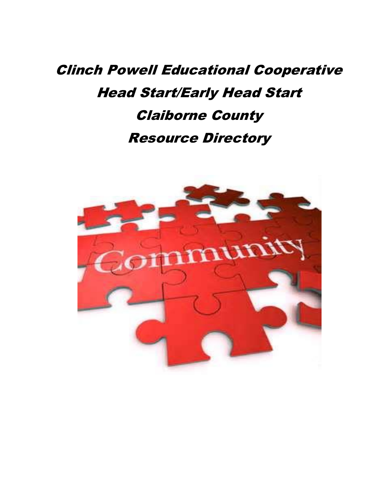## Clinch Powell Educational Cooperative Head Start/Early Head Start Claiborne County Resource Directory

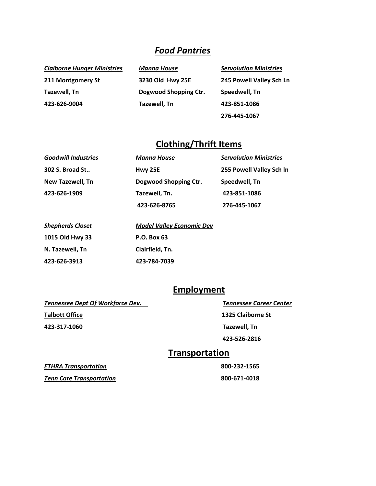#### *Food Pantries*

| <b>Claiborne Hunger Ministries</b> | Manna House           | <b>Servolution Ministries</b> |
|------------------------------------|-----------------------|-------------------------------|
| 211 Montgomery St                  | 3230 Old Hwy 25E      | 245 Powell Valley Sch Ln      |
| Tazewell, Tn                       | Dogwood Shopping Ctr. | Speedwell, Tn                 |
| 423-626-9004                       | Tazewell, Tn          | 423-851-1086                  |
|                                    |                       | 276-445-1067                  |

#### **Clothing/Thrift Items**

| <b>Goodwill Industries</b> | <b>Manna House</b>    | <b>Servolution Ministries</b> |
|----------------------------|-----------------------|-------------------------------|
| 302 S. Broad St            | Hwy 25E               | 255 Powell Valley Sch In      |
| New Tazewell, Tn           | Dogwood Shopping Ctr. | Speedwell, Tn                 |
| 423-626-1909               | Tazewell, Tn.         | 423-851-1086                  |
|                            | 423-626-8765          | 276-445-1067                  |

| <b>Shepherds Closet</b> | <b>Model Valley Economic Dev</b> |
|-------------------------|----------------------------------|
| 1015 Old Hwy 33         | P.O. Box 63                      |
| N. Tazewell, Tn         | Clairfield, Tn.                  |
| 423-626-3913            | 423-784-7039                     |

#### **Employment**

*Tennessee Dept Of Workforce Dev. Tennessee Career Center*

**423-317-1060 Tazewell, Tn** 

**Talbott Office 1325 Claiborne St** 

 **423-526-2816** 

#### **Transportation**

*ETHRA Transportation* **800-232-1565** 

**Tenn Care Transportation 800-671-4018**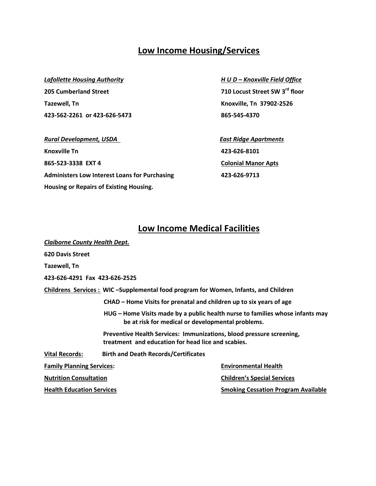#### **Low Income Housing/Services**

#### *Lafollette Housing Authority H U D – Knoxville Field Office*

**205 Cumberland Street Tazewell, Tn Knoxville, Tn 37902-2526 423-562-2261 or 423-626-5473 865-545-4370**

*Rural Development, USDA* **East Ridge Apartments Knoxville Tn 423-626-8101 865-523-3338 EXT 4 Colonial Manor Apts Administers Low Interest Loans for Purchasing 423-626-9713 Housing or Repairs of Existing Housing.**

710 Locust Street SW 3<sup>rd</sup> floor

#### **Low Income Medical Facilities**

| <b>Claiborne County Health Dept.</b> |                                                                                                                                    |                                                                                    |  |  |
|--------------------------------------|------------------------------------------------------------------------------------------------------------------------------------|------------------------------------------------------------------------------------|--|--|
| <b>620 Davis Street</b>              |                                                                                                                                    |                                                                                    |  |  |
| Tazewell, Tn                         |                                                                                                                                    |                                                                                    |  |  |
| 423-626-4291 Fax 423-626-2525        |                                                                                                                                    |                                                                                    |  |  |
|                                      |                                                                                                                                    | Childrens Services: WIC-Supplemental food program for Women, Infants, and Children |  |  |
|                                      |                                                                                                                                    | CHAD – Home Visits for prenatal and children up to six years of age                |  |  |
|                                      | HUG – Home Visits made by a public health nurse to families whose infants may<br>be at risk for medical or developmental problems. |                                                                                    |  |  |
|                                      | Preventive Health Services: Immunizations, blood pressure screening,<br>treatment and education for head lice and scabies.         |                                                                                    |  |  |
| <b>Vital Records:</b>                | <b>Birth and Death Records/Certificates</b>                                                                                        |                                                                                    |  |  |
| <b>Family Planning Services:</b>     |                                                                                                                                    | <b>Environmental Health</b>                                                        |  |  |
| <b>Nutrition Consultation</b>        |                                                                                                                                    | <b>Children's Special Services</b>                                                 |  |  |
| <b>Health Education Services</b>     |                                                                                                                                    | <b>Smoking Cessation Program Available</b>                                         |  |  |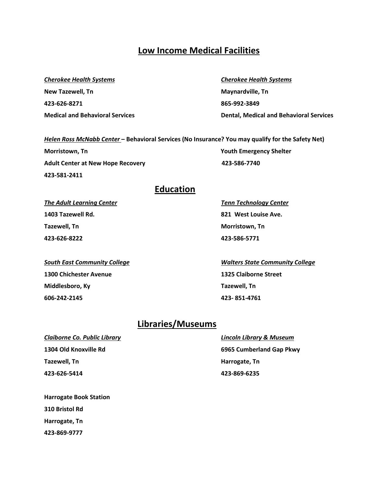#### **Low Income Medical Facilities**

#### *Cherokee Health Systems Cherokee Health Systems*

**New Tazewell, Tn Maynardville, Tn 423-626-8271 865-992-3849**

# **Medical and Behavioral Services Dental, Medical and Behavioral Services**

#### *Helen Ross McNabb Center* **– Behavioral Services (No Insurance? You may qualify for the Safety Net)**

**Morristown, Tn** Youth Emergency Shelter **Adult Center at New Hope Recovery 423-586-7740 423-581-2411**

#### **Education**

**1403 Tazewell Rd. 821 West Louise Ave. Tazewell, Tn Morristown, Tn Morristown, Tn 423-626-8222 423-586-5771**

**1300 Chichester Avenue 1325 Claiborne Street Middlesboro, Ky Tazewell, Tn 606-242-2145 423- 851-4761**

*The Adult Learning Center Tenn Technology Center*

*South East Community College Walters State Community College*

## **Libraries/Museums**

*Claiborne Co. Public Library Lincoln Library & Museum* **Tazewell, Tn Harrogate, Tn 423-626-5414 423-869-6235**

**1304 Old Knoxville Rd 6965 Cumberland Gap Pkwy**

**Harrogate Book Station 310 Bristol Rd Harrogate, Tn 423-869-9777**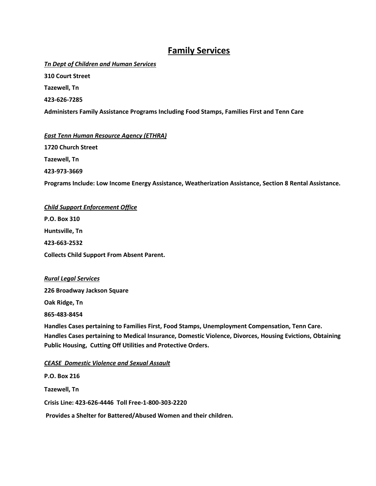#### **Family Services**

*Tn Dept of Children and Human Services*

**310 Court Street**

**Tazewell, Tn**

**423-626-7285**

**Administers Family Assistance Programs Including Food Stamps, Families First and Tenn Care**

*East Tenn Human Resource Agency (ETHRA)* **1720 Church Street Tazewell, Tn 423-973-3669**

**Programs Include: Low Income Energy Assistance, Weatherization Assistance, Section 8 Rental Assistance.**

*Child Support Enforcement Office* **P.O. Box 310 Huntsville, Tn 423-663-2532 Collects Child Support From Absent Parent.**

#### *Rural Legal Services*

**226 Broadway Jackson Square**

**Oak Ridge, Tn**

**865-483-8454**

**Handles Cases pertaining to Families First, Food Stamps, Unemployment Compensation, Tenn Care. Handles Cases pertaining to Medical Insurance, Domestic Violence, Divorces, Housing Evictions, Obtaining Public Housing, Cutting Off Utilities and Protective Orders.**

#### *CEASE Domestic Violence and Sexual Assault*

**P.O. Box 216 Tazewell, Tn Crisis Line: 423-626-4446 Toll Free-1-800-303-2220 Provides a Shelter for Battered/Abused Women and their children.**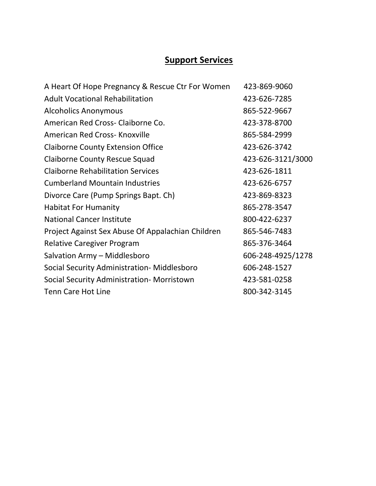## **Support Services**

| A Heart Of Hope Pregnancy & Rescue Ctr For Women  | 423-869-9060      |
|---------------------------------------------------|-------------------|
| <b>Adult Vocational Rehabilitation</b>            | 423-626-7285      |
| <b>Alcoholics Anonymous</b>                       | 865-522-9667      |
| American Red Cross- Claiborne Co.                 | 423-378-8700      |
| American Red Cross- Knoxville                     | 865-584-2999      |
| <b>Claiborne County Extension Office</b>          | 423-626-3742      |
| <b>Claiborne County Rescue Squad</b>              | 423-626-3121/3000 |
| <b>Claiborne Rehabilitation Services</b>          | 423-626-1811      |
| <b>Cumberland Mountain Industries</b>             | 423-626-6757      |
| Divorce Care (Pump Springs Bapt. Ch)              | 423-869-8323      |
| <b>Habitat For Humanity</b>                       | 865-278-3547      |
| <b>National Cancer Institute</b>                  | 800-422-6237      |
| Project Against Sex Abuse Of Appalachian Children | 865-546-7483      |
| <b>Relative Caregiver Program</b>                 | 865-376-3464      |
| Salvation Army - Middlesboro                      | 606-248-4925/1278 |
| Social Security Administration- Middlesboro       | 606-248-1527      |
| Social Security Administration- Morristown        | 423-581-0258      |
| <b>Tenn Care Hot Line</b>                         | 800-342-3145      |